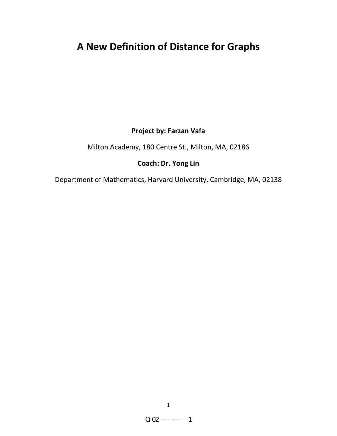# **A New Definition of Distance for Graphs**

## **Project by: Farzan Vafa**

Milton Academy, 180 Centre St., Milton, MA, 02186

## **Coach: Dr. Yong Lin**

Department of Mathematics, Harvard University, Cambridge, MA, 02138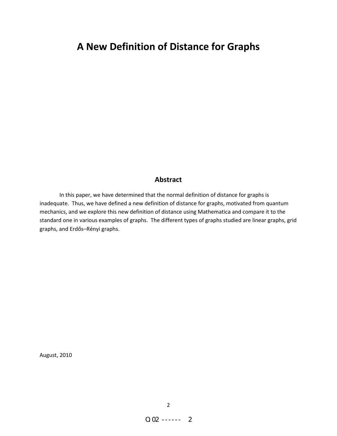## **A New Definition of Distance for Graphs**

## **Abstract**

In this paper, we have determined that the normal definition of distance for graphs is inadequate. Thus, we have defined a new definition of distance for graphs, motivated from quantum mechanics, and we explore this new definition of distance using Mathematica and compare it to the standard one in various examples of graphs. The different types of graphs studied are linear graphs, grid graphs, and [Erdős–Rényi](http://en.wikipedia.org/wiki/Erd%C5%91s%E2%80%93R%C3%A9nyi_model) graphs.

August, 2010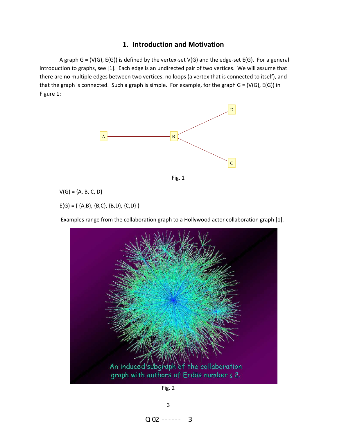## **1. Introduction and Motivation**

A graph G = (V(G), E(G)) is defined by the vertex-set V(G) and the edge-set E(G). For a general introduction to graphs, see [1]. Each edge is an undirected pair of two vertices. We will assume that there are no multiple edges between two vertices, no loops (a vertex that is connected to itself), and that the graph is connected. Such a graph is simple. For example, for the graph  $G = (V(G), E(G))$  in Figure 1:





 $V(G) = {A, B, C, D}$ 

 $E(G) = \{ \{A,B\}, \{B,C\}, \{B,D\}, \{C,D\} \}$ 

Examples range from the collaboration graph to a Hollywood actor collaboration graph [1].



Fig. 2

O.02 ------ 3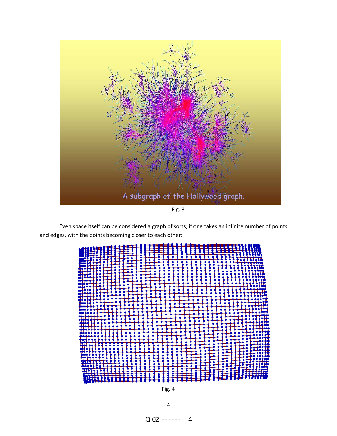

Even space itself can be considered a graph of sorts, if one takes an infinite number of points and edges, with the points becoming closer to each other:



Fig. 4

4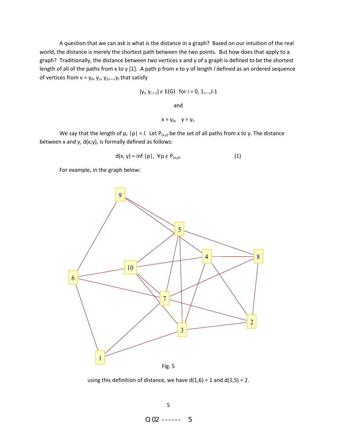A question that we can ask is what is the distance in a graph? Based on our intuition of the real world, the distance is merely the shortest path between the two points. But how does that apply to a graph? Traditionally, the distance between two vertices x and y of a graph is defined to be the shortest length of all of the paths from x to y [1]. A path p from x to y of length *l* defined as an ordered sequence of vertices from  $v = y_0, y_1, y_2, ..., y_l$  that satisfy

$$
\{y_i, y_{i+1}\} \in E(G) \text{ for } i = 0, 1, \ldots, l-1
$$

and

$$
x=y_0, \quad y=y_i.
$$

We say that the length of p,  $|p| = I$ . Let  $P_{(x,y)}$  be the set of all paths from x to y. The distance between x and y,  $d(x,y)$ , is formally defined as follows:

$$
d(x, y) = \inf |p|, \forall p \in P_{(x,y)}.
$$
 (1)

For example, in the graph below:



using this definition of distance, we have  $d(1,6) = 1$  and  $d(1,5) = 2$ .

O.02 ------ 5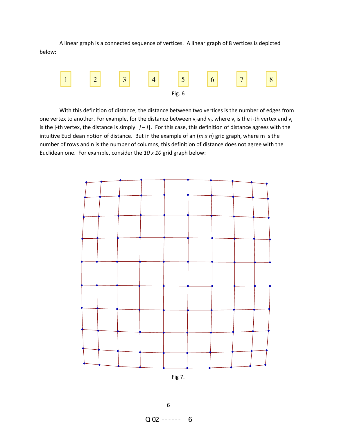A linear graph is a connected sequence of vertices. A linear graph of 8 vertices is depicted below:



With this definition of distance, the distance between two vertices is the number of edges from one vertex to another. For example, for the distance between v*<sup>i</sup>* and v*<sup>j</sup>* , where v*<sup>i</sup>* is the i-th vertex and v*<sup>j</sup>* is the j-th vertex, the distance is simply |*j* – *i*|. For this case, this definition of distance agrees with the intuitive Euclidean notion of distance. But in the example of an (*m x n*) grid graph, where m is the number of rows and n is the number of columns, this definition of distance does not agree with the Euclidean one. For example, consider the *10 x 10* grid graph below:



Fig 7.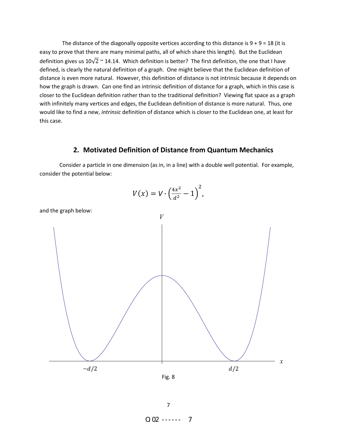The distance of the diagonally opposite vertices according to this distance is  $9 + 9 = 18$  (it is easy to prove that there are many minimal paths, all of which share this length). But the Euclidean definition gives us  $10\sqrt{2} \approx 14.14$ . Which definition is better? The first definition, the one that I have defined, is clearly the natural definition of a graph. One might believe that the Euclidean definition of distance is even more natural. However, this definition of distance is not intrinsic because it depends on how the graph is drawn. Can one find an intrinsic definition of distance for a graph, which in this case is closer to the Euclidean definition rather than to the traditional definition? Viewing flat space as a graph with infinitely many vertices and edges, the Euclidean definition of distance is more natural. Thus, one would like to find a new, *intrinsic* definition of distance which is closer to the Euclidean one, at least for this case.

#### **2. Motivated Definition of Distance from Quantum Mechanics**

 Consider a particle in one dimension (as in, in a line) with a double well potential. For example, consider the potential below:

$$
V(x) = V \cdot \left(\frac{4x^2}{d^2} - 1\right)^2,
$$



and the graph below:



7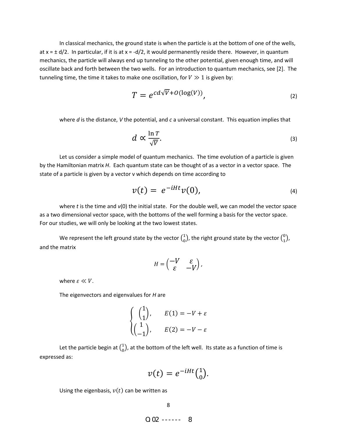In classical mechanics, the ground state is when the particle is at the bottom of one of the wells, at  $x = \pm d/2$ . In particular, if it is at  $x = -d/2$ , it would permanently reside there. However, in quantum mechanics, the particle will always end up tunneling to the other potential, given enough time, and will oscillate back and forth between the two wells. For an introduction to quantum mechanics, see [2]. The tunneling time, the time it takes to make one oscillation, for  $V \gg 1$  is given by:

$$
T = e^{cd\sqrt{V} + O(\log(V))},
$$
\n(2)

where *d* is the distance, *V* the potential, and *c* a universal constant. This equation implies that

$$
d \propto \frac{\ln T}{\sqrt{V}}.\tag{3}
$$

Let us consider a simple model of quantum mechanics. The time evolution of a particle is given by the Hamiltonian matrix *H*. Each quantum state can be thought of as a vector in a vector space. The state of a particle is given by a vector v which depends on time according to

$$
v(t) = e^{-iHt}v(0), \qquad (4)
$$

where *t* is the time and  $v(0)$  the initial state. For the double well, we can model the vector space as a two dimensional vector space, with the bottoms of the well forming a basis for the vector space. For our studies, we will only be looking at the two lowest states.

We represent the left ground state by the vector  $\binom{1}{0}$  $\binom{1}{0}$ , the right ground state by the vector  $\binom{0}{1}$  $\binom{0}{1}$ , and the matrix

$$
H = \begin{pmatrix} -V & \varepsilon \\ \varepsilon & -V \end{pmatrix},
$$

where  $\varepsilon \ll V$ .

The eigenvectors and eigenvalues for *H* are

$$
\begin{cases}\n\binom{1}{1}, & E(1) = -V + \varepsilon \\
\binom{1}{-1}, & E(2) = -V - \varepsilon\n\end{cases}
$$

Let the particle begin at  $\binom{1}{0}$  $_{0}^{1}$ ), at the bottom of the left well. Its state as a function of time is expressed as:

$$
v(t) = e^{-iHt}\binom{1}{0}.
$$

Using the eigenbasis,  $v(t)$  can be written as

 $0.02$  ------ 8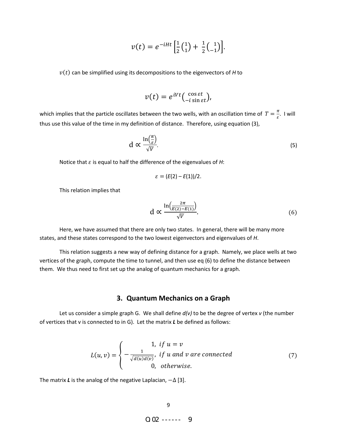$$
v(t) = e^{-iHt} \left[ \frac{1}{2} \binom{1}{1} + \frac{1}{2} \binom{1}{-1} \right].
$$

 $v(t)$  can be simplified using its decompositions to the eigenvectors of *H* to

$$
v(t) = e^{iVt} \left( \begin{array}{c} \cos \varepsilon t \\ -i \sin \varepsilon t \end{array} \right),\,
$$

which implies that the particle oscillates between the two wells, with an oscillation time of  $T=\frac{\pi}{\varepsilon}$ . I will thus use this value of the time in my definition of distance. Therefore, using equation (3),

$$
d \propto \frac{\ln\left(\frac{\pi}{\varepsilon}\right)}{\sqrt{V}}.\tag{5}
$$

Notice that  $\varepsilon$  is equal to half the difference of the eigenvalues of  $H$ :

$$
\varepsilon=(E(2)-E(1))/2.
$$

This relation implies that

$$
d \propto \frac{\ln\left(\frac{2\pi}{E(2) - E(1)}\right)}{\sqrt{V}}.\tag{6}
$$

Here, we have assumed that there are only two states. In general, there will be many more states, and these states correspond to the two lowest eigenvectors and eigenvalues of *H*.

This relation suggests a new way of defining distance for a graph. Namely, we place wells at two vertices of the graph, compute the time to tunnel, and then use eq (6) to define the distance between them. We thus need to first set up the analog of quantum mechanics for a graph.

#### **3. Quantum Mechanics on a Graph**

Let us consider a simple graph G. We shall define *d(v)* to be the degree of vertex *v* (the number of vertices that v is connected to in G). Let the matrix *L* be defined as follows:

$$
L(u,v) = \begin{cases} 1, & \text{if } u = v \\ -\frac{1}{\sqrt{d(u)d(v)}}, & \text{if } u \text{ and } v \text{ are connected} \\ 0, & \text{otherwise.} \end{cases}
$$
(7)

The matrix *L* is the analog of the negative Laplacian,  $-\Delta$  [3].

 $Q_0Q_2$  ------  $Q_0$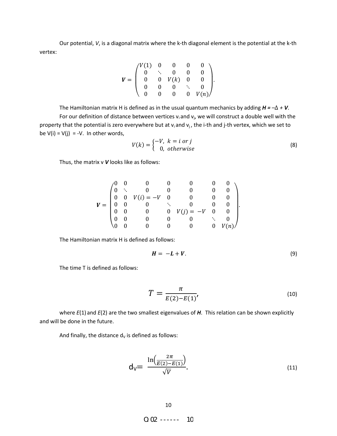Our potential, *V*, is a diagonal matrix where the k-th diagonal element is the potential at the k-th vertex:

$$
V = \begin{pmatrix} V(1) & 0 & 0 & 0 & 0 \\ 0 & \ddots & 0 & 0 & 0 \\ 0 & 0 & V(k) & 0 & 0 \\ 0 & 0 & 0 & \ddots & 0 \\ 0 & 0 & 0 & 0 & V(n) \end{pmatrix}.
$$

The Hamiltonian matrix H is defined as in the usual quantum mechanics by adding  $H = -\Delta + V$ .

For our definition of distance between vertices  $v_i$  and  $v_j$ , we will construct a double well with the property that the potential is zero everywhere but at  $v_i$  and  $v_j$ , the i-th and j-th vertex, which we set to be  $V(i) = V(j) = -V$ . In other words,

$$
V(k) = \begin{cases} -V, & k = i \text{ or } j \\ 0, & otherwise \end{cases}
$$
 (8)

Thus, the matrix v *V* looks like as follows:

$$
V = \begin{pmatrix} 0 & 0 & 0 & 0 & 0 & 0 & 0 & 0 \\ 0 & \ddots & 0 & 0 & 0 & 0 & 0 & 0 \\ 0 & 0 & V(i) = -V & 0 & 0 & 0 & 0 \\ 0 & 0 & 0 & \ddots & 0 & 0 & 0 \\ 0 & 0 & 0 & 0 & V(j) = -V & 0 & 0 \\ 0 & 0 & 0 & 0 & 0 & \ddots & 0 \\ 0 & 0 & 0 & 0 & 0 & 0 & V(n) \end{pmatrix}.
$$

The Hamiltonian matrix H is defined as follows:

$$
H = -L + V. \tag{9}
$$

The time T is defined as follows:

$$
T = \frac{\pi}{E(2) - E(1)}
$$
\n(10)

 where *E*(1) and *E*(2) are the two smallest eigenvalues of *H*. This relation can be shown explicitly and will be done in the future.

And finally, the distance  $d_v$  is defined as follows:

$$
d_V = \frac{\ln\left(\frac{2\pi}{E(2) - E(1)}\right)}{\sqrt{V}}.
$$
\n(11)

 $Q_0Q_2$  ------ 10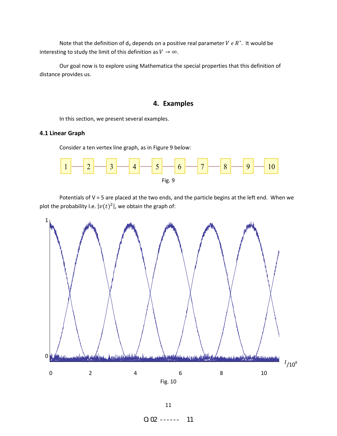Note that the definition of  $d_v$  depends on a positive real parameter  $V \in R^*$ . It would be interesting to study the limit of this definition as  $V \rightarrow \infty$ .

Our goal now is to explore using Mathematica the special properties that this definition of distance provides us.

## **4. Examples**

In this section, we present several examples.

### **4.1 Linear Graph**

Consider a ten vertex line graph, as in Figure 9 below:



Potentials of V = 5 are placed at the two ends, and the particle begins at the left end. When we plot the probability I.e.  $|v(t)^2|$ , we obtain the graph of:

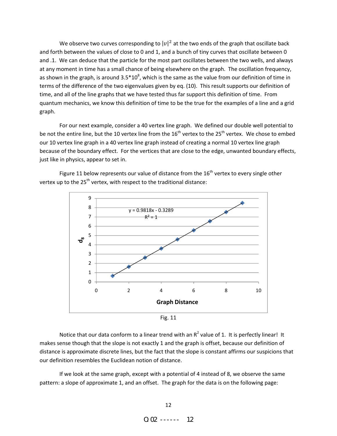We observe two curves corresponding to  $|v|^2$  at the two ends of the graph that oscillate back and forth between the values of close to 0 and 1, and a bunch of tiny curves that oscillate between 0 and .1. We can deduce that the particle for the most part oscillates between the two wells, and always at any moment in time has a small chance of being elsewhere on the graph. The oscillation frequency, as shown in the graph, is around 3.5\*10<sup>8</sup>, which is the same as the value from our definition of time in terms of the difference of the two eigenvalues given by eq. (10). This result supports our definition of time, and all of the line graphs that we have tested thus far support this definition of time. From quantum mechanics, we know this definition of time to be the true for the examples of a line and a grid graph.

For our next example, consider a 40 vertex line graph. We defined our double well potential to be not the entire line, but the 10 vertex line from the 16<sup>th</sup> vertex to the 25<sup>th</sup> vertex. We chose to embed our 10 vertex line graph in a 40 vertex line graph instead of creating a normal 10 vertex line graph because of the boundary effect. For the vertices that are close to the edge, unwanted boundary effects, just like in physics, appear to set in.

Figure 11 below represents our value of distance from the  $16<sup>th</sup>$  vertex to every single other vertex up to the 25<sup>th</sup> vertex, with respect to the traditional distance:



Fig. 11

Notice that our data conform to a linear trend with an  $R^2$  value of 1. It is perfectly linear! It makes sense though that the slope is not exactly 1 and the graph is offset, because our definition of distance is approximate discrete lines, but the fact that the slope is constant affirms our suspicions that our definition resembles the Euclidean notion of distance.

 If we look at the same graph, except with a potential of 4 instead of 8, we observe the same pattern: a slope of approximate 1, and an offset. The graph for the data is on the following page: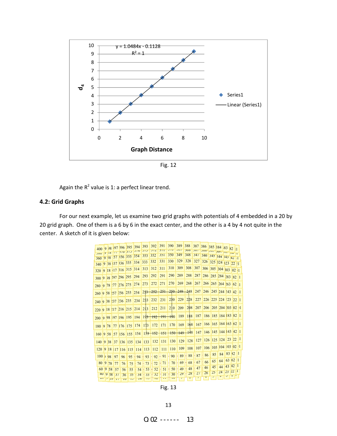

Fig. 12

Again the  $R^2$  value is 1: a perfect linear trend.

### **4.2: Grid Graphs**

For our next example, let us examine two grid graphs with potentials of 4 embedded in a 20 by 20 grid graph. One of them is a 6 by 6 in the exact center, and the other is a 4 by 4 not quite in the center. A sketch of it is given below:

| 400                  |   | $9 \;   \; 38$ |         |                 | 397 396 395 394 |                         | 393   |                | 392     | 391    | 390<br>J/U     | 389<br>コロフ     | 388         | 387          | 386 385 384 83           |                               |    |    | 82 :1    |              |
|----------------------|---|----------------|---------|-----------------|-----------------|-------------------------|-------|----------------|---------|--------|----------------|----------------|-------------|--------------|--------------------------|-------------------------------|----|----|----------|--------------|
|                      |   | $7^{10}$       |         | 111101313       |                 | J/H                     | ر ر ر |                | J/L     | J/I    |                |                | 200         | JUI          |                          | $\frac{100 - 100}{100 - 100}$ |    |    |          |              |
| 300<br>360           |   | 9,58           |         | 57 356 355      |                 | 354                     | 353   |                | 352     | 351    | 350            | 349            | 348         | 347          |                          | 346 345 344 345 42 1          |    |    |          |              |
|                      |   |                |         | 9 38 37 336 335 |                 | 334                     | 333   |                | 332     | 331    | 330            | 329            | 328         | 327          |                          | 326 325 324 323 22 11         |    |    |          |              |
| 340                  |   |                |         |                 |                 |                         |       |                | 312     | 311    | 310            | 309            | 308         | 307          |                          |                               |    |    |          |              |
| 320                  | 9 |                |         | 18 17 316 315   |                 | 314                     | 313   |                |         |        |                |                |             |              |                          | 306 305 304 303               |    |    | 02 1     |              |
| 300                  | 9 |                |         | 98 297 296 295  |                 | 294                     | 293   |                | 292     | 291    | 290            | 289            | 288         | 287          |                          | 286 285 284 283 82 1          |    |    |          |              |
| 280                  |   |                | 9 78 77 | 276 275         |                 | 274                     | 273   |                | 272     | 271    | 270            | 269            | 268         | 267          |                          | 266 265 264 263 62 1          |    |    |          |              |
| 260 9 58 157 256     |   |                |         |                 | 255             | 254                     | 253   |                | 252     | $-251$ |                |                | 250 249 248 | 247          |                          | 246 245 244 243 42 1          |    |    |          |              |
| 240 9 38 237 236 235 |   |                |         |                 |                 | 234                     | 233   |                | 232     | 231    | 230            |                | $229$ 228   |              | 227 226 225 224 23 22 1  |                               |    |    |          |              |
|                      |   |                |         |                 |                 |                         |       |                |         |        |                |                |             |              |                          |                               |    |    |          |              |
|                      |   |                |         |                 |                 | 220 9 18 17 216 215 214 | 213   |                | 212     | 211    | 210            | 209            | 208         | 207          |                          | 206 205 204 203 02 11         |    |    |          |              |
| 200                  |   |                |         |                 |                 | 9 98 97 196 195 194 193 |       |                | $192 +$ | 191    | $+90$          | 189            | 188         | 187          |                          | 186 185 184 83 82 1           |    |    |          |              |
| 180                  |   | 9 78           |         | 77 176 175      |                 | 174                     | 173   |                | 172     | 171    | 170            | 169            | 168         |              | 167 166 165 164 163 62 1 |                               |    |    |          |              |
| 160                  |   | 9 58           |         | 57 156 155      |                 | 154                     |       | 153            | $+52$   | 151    |                | $150 - 149$    | 448         |              | 147 146 145 144 43 42 1  |                               |    |    |          |              |
| 140                  |   | 9 38           |         |                 | 37 136 135      | 134                     | 133   |                | 132     | 131    | 130            | 129            | 128         |              | 127 126 125 124 23 22 1  |                               |    |    |          |              |
| 120                  |   | 9 18           |         |                 | $17$ 116 115    | 114                     |       | <sup>113</sup> | 112     | 111    | 110            | 109            | 108         | 107          |                          | 106 105 104 03 02 1           |    |    |          |              |
| $100 \;$             |   | 98             | 97      | 96              | 95              | 94                      |       | 93             | 92      | 91     | 90             | 89             | 88          | 87           | 86                       | 85                            | 84 |    | 83 82 1  |              |
| 80                   | 9 | 78             | 77      | 76              | 75              | 74                      |       | 73             | 72      | 71     | 70             | 69             | 68          | 67           | 66                       | 65                            | 64 |    | 63 62    | $\mathbf{H}$ |
|                      |   | 60 9 58        | 57      | 56              | 55              | 54                      |       | 53             | 52      | 51     | 50             | 49             | 48          | 47           | 46                       | 45                            | 44 | 43 | 42       |              |
|                      |   | 40 9 38        | 31      |                 | 35              | 34                      |       | 33             | 32      | 31     | 30             | 29             | 28          | 21           | 26                       | 25                            | 24 | 23 | 122 1    |              |
| $\omega$             |   |                |         | 36              |                 |                         |       | 1J             | 1/2     | 11     | 1 <sub>U</sub> | $\overline{z}$ | $\circ$     | $\mathcal I$ | v                        |                               | F  | ر  | $2 + 14$ |              |
|                      |   | 7 10           | 11      | 1 <sub>U</sub>  | 1 <sub>o</sub>  | $1 +$                   |       |                |         |        |                |                |             |              |                          |                               |    |    |          |              |

Fig. 13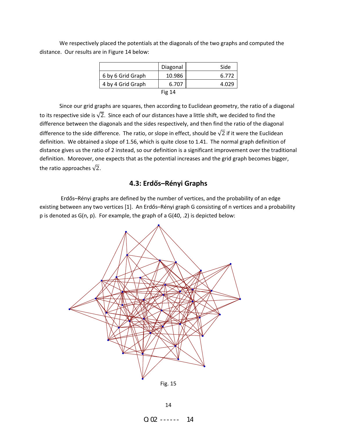distance. Our results are in Figure 14 below:

|                   | Diagonal | Side  |
|-------------------|----------|-------|
| 6 by 6 Grid Graph | 10.986   | 6.772 |
| 4 by 4 Grid Graph | 6.707    | 4.029 |
|                   | Fig $14$ |       |

We respectively placed the potentials at the diagonals of the two graphs and computed the

 Since our grid graphs are squares, then according to Euclidean geometry, the ratio of a diagonal to its respective side is  $\sqrt{2}$ . Since each of our distances have a little shift, we decided to find the difference between the diagonals and the sides respectively, and then find the ratio of the diagonal difference to the side difference. The ratio, or slope in effect, should be  $\sqrt{2}$  if it were the Euclidean definition. We obtained a slope of 1.56, which is quite close to 1.41. The normal graph definition of distance gives us the ratio of 2 instead, so our definition is a significant improvement over the traditional definition. Moreover, one expects that as the potential increases and the grid graph becomes bigger, the ratio approaches  $\sqrt{2}$ .

### **4.3: [Erdős–Rényi](http://en.wikipedia.org/wiki/Erd%C5%91s%E2%80%93R%C3%A9nyi_model) Graphs**

 [Erdős–Rényi](http://en.wikipedia.org/wiki/Erd%C5%91s%E2%80%93R%C3%A9nyi_model) graphs are defined by the number of vertices, and the probability of an edge existing between any two vertices [1]. An [Erdős–Rényi](http://en.wikipedia.org/wiki/Erd%C5%91s%E2%80%93R%C3%A9nyi_model) graph G consisting of n vertices and a probability p is denoted as G(n, p). For example, the graph of a G(40, .2) is depicted below:



 $0.02$  ------ 14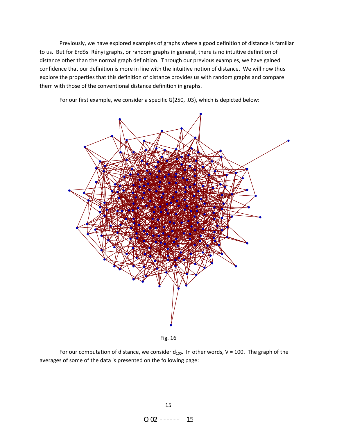Previously, we have explored examples of graphs where a good definition of distance is familiar to us. But for [Erdős–Rényi](http://en.wikipedia.org/wiki/Erd%C5%91s%E2%80%93R%C3%A9nyi_model) graphs, or random graphs in general, there is no intuitive definition of distance other than the normal graph definition. Through our previous examples, we have gained confidence that our definition is more in line with the intuitive notion of distance. We will now thus explore the properties that this definition of distance provides us with random graphs and compare them with those of the conventional distance definition in graphs.

For our first example, we consider a specific G(250, .03), which is depicted below:



Fig. 16

For our computation of distance, we consider  $d_{100}$ . In other words, V = 100. The graph of the averages of some of the data is presented on the following page: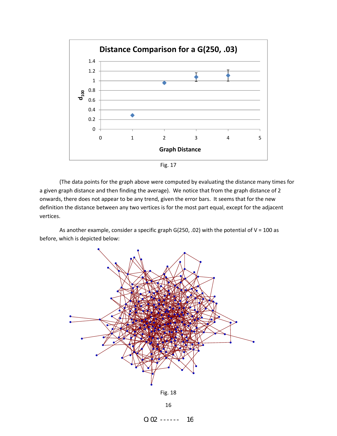

Fig. 17

 (The data points for the graph above were computed by evaluating the distance many times for a given graph distance and then finding the average). We notice that from the graph distance of 2 onwards, there does not appear to be any trend, given the error bars. It seems that for the new definition the distance between any two vertices is for the most part equal, except for the adjacent vertices.

As another example, consider a specific graph G(250, .02) with the potential of  $V = 100$  as before, which is depicted below:



 $0.02$  ------ 16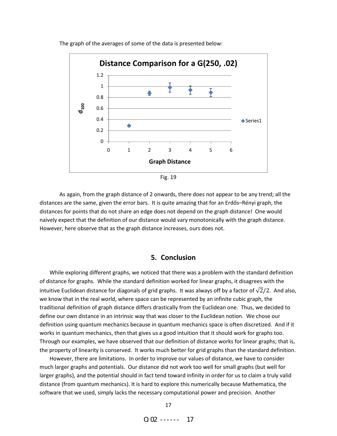

The graph of the averages of some of the data is presented below:

 As again, from the graph distance of 2 onwards, there does not appear to be any trend; all the distances are the same, given the error bars. It is quite amazing that for an [Erdős–Rényi](http://en.wikipedia.org/wiki/Erd%C5%91s%E2%80%93R%C3%A9nyi_model) graph, the distances for points that do not share an edge does not depend on the graph distance! One would naively expect that the definition of our distance would vary monotonically with the graph distance. However, here observe that as the graph distance increases, ours does not.

#### **5. Conclusion**

While exploring different graphs, we noticed that there was a problem with the standard definition of distance for graphs. While the standard definition worked for linear graphs, it disagrees with the intuitive Euclidean distance for diagonals of grid graphs. It was always off by a factor of  $\sqrt{2}/2$ . And also, we know that in the real world, where space can be represented by an infinite cubic graph, the traditional definition of graph distance differs drastically from the Euclidean one. Thus, we decided to define our own distance in an intrinsic way that was closer to the Euclidean notion. We chose our definition using quantum mechanics because in quantum mechanics space is often discretized. And if it works in quantum mechanics, then that gives us a good intuition that it should work for graphs too. Through our examples, we have observed that our definition of distance works for linear graphs; that is, the property of linearity is conserved. It works much better for grid graphs than the standard definition.

However, there are limitations. In order to improve our values of distance, we have to consider much larger graphs and potentials. Our distance did not work too well for small graphs (but well for larger graphs), and the potential should in fact tend toward infinity in order for us to claim a truly valid distance (from quantum mechanics). It is hard to explore this numerically because Mathematica, the software that we used, simply lacks the necessary computational power and precision. Another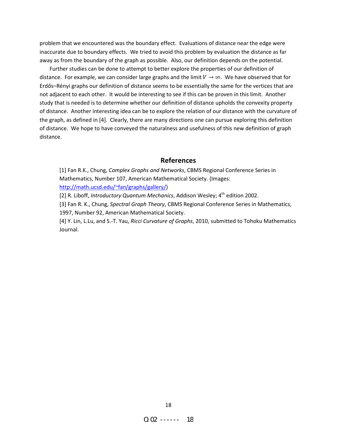problem that we encountered was the boundary effect. Evaluations of distance near the edge were inaccurate due to boundary effects. We tried to avoid this problem by evaluation the distance as far away as from the boundary of the graph as possible. Also, our definition depends on the potential.

Further studies can be done to attempt to better explore the properties of our definition of distance. For example, we can consider large graphs and the limit  $V\rightarrow\infty$ . We have observed that for [Erdős–Rényi](http://en.wikipedia.org/wiki/Erd%C5%91s%E2%80%93R%C3%A9nyi_model) graphs our definition of distance seems to be essentially the same for the vertices that are not adjacent to each other. It would be interesting to see if this can be proven in this limit. Another study that is needed is to determine whether our definition of distance upholds the convexity property of distance. Another interesting idea can be to explore the relation of our distance with the curvature of the graph, as defined in [4]. Clearly, there are many directions one can pursue exploring this definition of distance. We hope to have conveyed the naturalness and usefulness of this new definition of graph distance.

#### **References**

[1] Fan R.K., Chung, *Complex Graphs and Networks*, CBMS Regional Conference Series in Mathematics, Number 107, American Mathematical Society. (Images: <http://math.ucsd.edu/~fan/graphs/gallery/>)

[2] R. Liboff, *Introductory Quantum Mechanics*, Addison Wesley; 4<sup>th</sup> edition 2002.

[3] Fan R. K., Chung, *Spectral Graph Theory*, CBMS Regional Conference Series in Mathematics, 1997, Number 92, American Mathematical Society.

[4] Y. Lin, L.Lu, and S.-T. Yau, *Ricci Curvature of Graphs*, 2010, submitted to Tohoku Mathematics Journal.